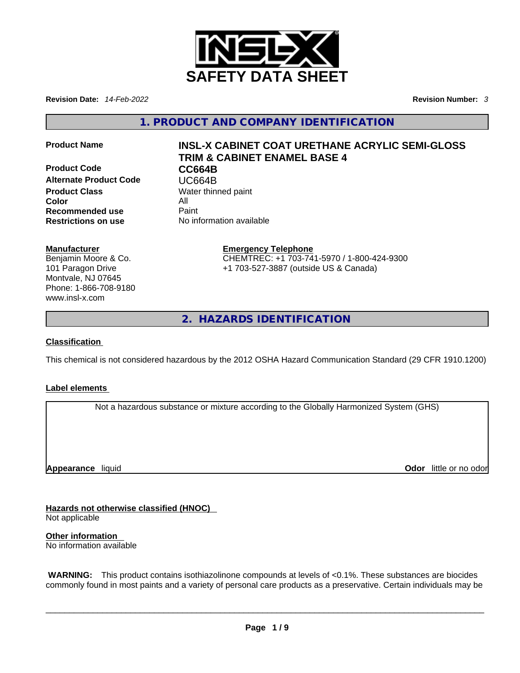

**Revision Date:** *14-Feb-2022* **Revision Number:** *3*

**1. PRODUCT AND COMPANY IDENTIFICATION** 

**Product Code CC664B Alternate Product Code CODE UC664B**<br> **Product Class** Water thin **Color** All **Recommended use** Paint<br> **Restrictions on use** No inf

# **Product Name INSL-X CABINET COAT URETHANE ACRYLIC SEMI-GLOSS TRIM & CABINET ENAMEL BASE 4**

**Water thinned paint Restrictions on use** No information available

# **Manufacturer**

Benjamin Moore & Co. 101 Paragon Drive Montvale, NJ 07645 Phone: 1-866-708-9180 www.insl-x.com

#### **Emergency Telephone** CHEMTREC: +1 703-741-5970 / 1-800-424-9300 +1 703-527-3887 (outside US & Canada)

**2. HAZARDS IDENTIFICATION** 

# **Classification**

This chemical is not considered hazardous by the 2012 OSHA Hazard Communication Standard (29 CFR 1910.1200)

# **Label elements**

Not a hazardous substance or mixture according to the Globally Harmonized System (GHS)

**Appearance** liquid

**Odor** little or no odor

**Hazards not otherwise classified (HNOC)**  Not applicable

**Other information**  No information available

 **WARNING:** This product contains isothiazolinone compounds at levels of <0.1%. These substances are biocides commonly found in most paints and a variety of personal care products as a preservative. Certain individuals may be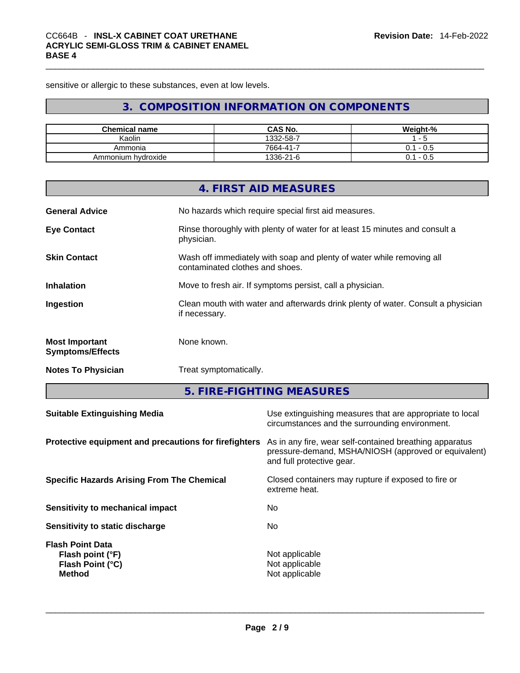sensitive or allergic to these substances, even at low levels.

# **3. COMPOSITION INFORMATION ON COMPONENTS**

| <b>Chemical name</b> | CAS No.   | Weight-%                 |
|----------------------|-----------|--------------------------|
| Kaolin               | 1332-58-7 | $\overline{\phantom{a}}$ |
| Ammonia              | 7664-41-7 | - 0.5<br>J.1             |
| Ammonium hydroxide   | 1336-21-6 | - 0.5<br>0.1             |

|                                                  | 4. FIRST AID MEASURES                                                                                    |
|--------------------------------------------------|----------------------------------------------------------------------------------------------------------|
| <b>General Advice</b>                            | No hazards which require special first aid measures.                                                     |
| <b>Eye Contact</b>                               | Rinse thoroughly with plenty of water for at least 15 minutes and consult a<br>physician.                |
| <b>Skin Contact</b>                              | Wash off immediately with soap and plenty of water while removing all<br>contaminated clothes and shoes. |
| <b>Inhalation</b>                                | Move to fresh air. If symptoms persist, call a physician.                                                |
| Ingestion                                        | Clean mouth with water and afterwards drink plenty of water. Consult a physician<br>if necessary.        |
| <b>Most Important</b><br><b>Symptoms/Effects</b> | None known.                                                                                              |
| <b>Notes To Physician</b>                        | Treat symptomatically.                                                                                   |

**5. FIRE-FIGHTING MEASURES** 

| <b>Suitable Extinguishing Media</b>                                              | Use extinguishing measures that are appropriate to local<br>circumstances and the surrounding environment.                                   |
|----------------------------------------------------------------------------------|----------------------------------------------------------------------------------------------------------------------------------------------|
| Protective equipment and precautions for firefighters                            | As in any fire, wear self-contained breathing apparatus<br>pressure-demand, MSHA/NIOSH (approved or equivalent)<br>and full protective gear. |
| <b>Specific Hazards Arising From The Chemical</b>                                | Closed containers may rupture if exposed to fire or<br>extreme heat.                                                                         |
| Sensitivity to mechanical impact                                                 | No.                                                                                                                                          |
| Sensitivity to static discharge                                                  | No.                                                                                                                                          |
| <b>Flash Point Data</b><br>Flash point (°F)<br>Flash Point (°C)<br><b>Method</b> | Not applicable<br>Not applicable<br>Not applicable                                                                                           |
|                                                                                  |                                                                                                                                              |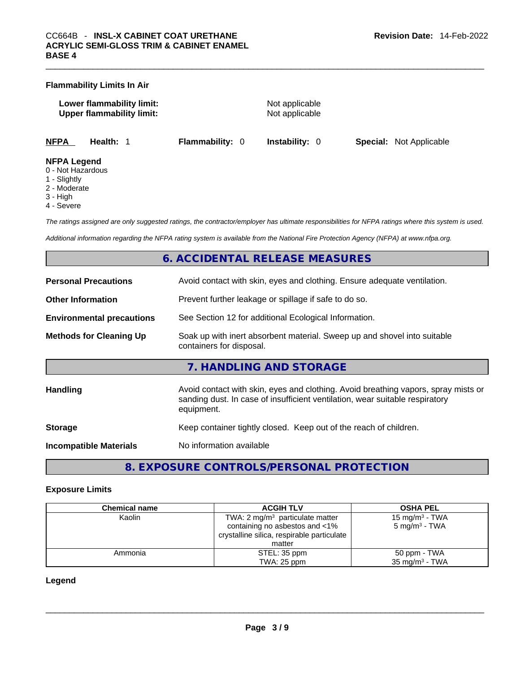|                                 | <b>Flammability Limits In Air</b>                             |                        |                                  |                                |  |
|---------------------------------|---------------------------------------------------------------|------------------------|----------------------------------|--------------------------------|--|
|                                 | Lower flammability limit:<br><b>Upper flammability limit:</b> |                        | Not applicable<br>Not applicable |                                |  |
| <b>NFPA</b>                     | Health: 1                                                     | <b>Flammability: 0</b> | <b>Instability: 0</b>            | <b>Special: Not Applicable</b> |  |
| <b>NFPA Legend</b><br>- - - - - |                                                               |                        |                                  |                                |  |

- 0 Not Hazardous
- 1 Slightly
- 2 Moderate
- 3 High
- 4 Severe

*The ratings assigned are only suggested ratings, the contractor/employer has ultimate responsibilities for NFPA ratings where this system is used.* 

*Additional information regarding the NFPA rating system is available from the National Fire Protection Agency (NFPA) at www.nfpa.org.* 

# **6. ACCIDENTAL RELEASE MEASURES**

| <b>Personal Precautions</b>      | Avoid contact with skin, eyes and clothing. Ensure adequate ventilation.                                                                                                         |
|----------------------------------|----------------------------------------------------------------------------------------------------------------------------------------------------------------------------------|
| <b>Other Information</b>         | Prevent further leakage or spillage if safe to do so.                                                                                                                            |
| <b>Environmental precautions</b> | See Section 12 for additional Ecological Information.                                                                                                                            |
| <b>Methods for Cleaning Up</b>   | Soak up with inert absorbent material. Sweep up and shovel into suitable<br>containers for disposal.                                                                             |
|                                  | 7. HANDLING AND STORAGE                                                                                                                                                          |
| Handling                         | Avoid contact with skin, eyes and clothing. Avoid breathing vapors, spray mists or<br>sanding dust. In case of insufficient ventilation, wear suitable respiratory<br>equipment. |
| <b>Storage</b>                   | Keep container tightly closed. Keep out of the reach of children.                                                                                                                |
|                                  |                                                                                                                                                                                  |

# **8. EXPOSURE CONTROLS/PERSONAL PROTECTION**

#### **Exposure Limits**

| Chemical name | <b>ACGIH TLV</b>                           | <b>OSHA PEL</b>           |
|---------------|--------------------------------------------|---------------------------|
| Kaolin        | TWA: 2 $mg/m3$ particulate matter          | 15 mg/m $3$ - TWA         |
|               | containing no asbestos and <1%             | 5 mg/m <sup>3</sup> - TWA |
|               | crystalline silica, respirable particulate |                           |
|               | matter                                     |                           |
| Ammonia       | STEL: 35 ppm                               | 50 ppm - TWA              |
|               | TWA: 25 ppm                                | 35 mg/m $3$ - TWA         |

#### **Legend**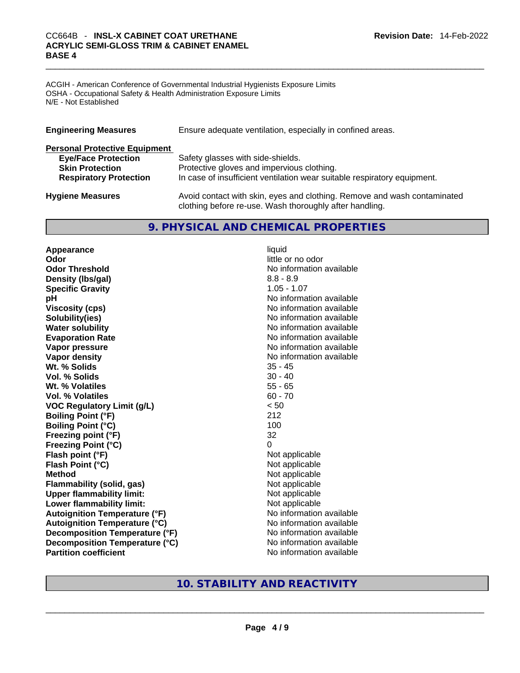# \_\_\_\_\_\_\_\_\_\_\_\_\_\_\_\_\_\_\_\_\_\_\_\_\_\_\_\_\_\_\_\_\_\_\_\_\_\_\_\_\_\_\_\_\_\_\_\_\_\_\_\_\_\_\_\_\_\_\_\_\_\_\_\_\_\_\_\_\_\_\_\_\_\_\_\_\_\_\_\_\_\_\_\_\_\_\_\_\_\_\_\_\_ CC664B - **INSL-X CABINET COAT URETHANE ACRYLIC SEMI-GLOSS TRIM & CABINET ENAMEL BASE 4**

ACGIH - American Conference of Governmental Industrial Hygienists Exposure Limits OSHA - Occupational Safety & Health Administration Exposure Limits N/E - Not Established

| Ensure adequate ventilation, especially in confined areas.<br><b>Engineering Measures</b> |                                                                                                                                     |
|-------------------------------------------------------------------------------------------|-------------------------------------------------------------------------------------------------------------------------------------|
| <b>Personal Protective Equipment</b>                                                      |                                                                                                                                     |
| <b>Eye/Face Protection</b>                                                                | Safety glasses with side-shields.                                                                                                   |
| <b>Skin Protection</b>                                                                    | Protective gloves and impervious clothing.                                                                                          |
| <b>Respiratory Protection</b>                                                             | In case of insufficient ventilation wear suitable respiratory equipment.                                                            |
| <b>Hygiene Measures</b>                                                                   | Avoid contact with skin, eyes and clothing. Remove and wash contaminated<br>clothing before re-use. Wash thoroughly after handling. |

# **9. PHYSICAL AND CHEMICAL PROPERTIES**

**Appearance** liquid **Odor** little or no odor **Odor Threshold** No information available **Density (lbs/gal)** 8.8 - 8.9 **Specific Gravity** 1.05 - 1.07 **pH bH** *pH* **Viscosity (cps) Viscosity (cps) No information available Solubility(ies)** No information available **Water solubility No information available No information available Evaporation Rate No information available No information available Vapor pressure**  No information available **Vapor density No information available No** information available **Wt. % Solids** 35 - 45 **Vol. % Solids** 30 - 40 **Wt. % Volatiles** 55 - 65 **Vol. % Volatiles** 60 - 70 **VOC Regulatory Limit (g/L)** < 50 **Boiling Point (°F)** 212 **Boiling Point (°C)** 100 **Freezing point (°F)** 32 **Freezing Point (°C)** 0 **Flash point (°F)** Not applicable **Flash Point (°C)** Not applicable **Method** Not applicable **Flammability (solid, gas)** Not applicable **Upper flammability limit:** Not applicable **Lower flammability limit:** Not applicable **Autoignition Temperature (°F)** No information available **Autoignition Temperature (°C)**<br> **Decomposition Temperature (°F)** No information available **Decomposition Temperature (°F) Decomposition Temperature (°C)** No information available

# **Partition coefficient**<br>No information available<br>No information available<br>No information available<br>No information available<br>No information available<br>No information available<br>No information available<br>No information availabl **10. STABILITY AND REACTIVITY**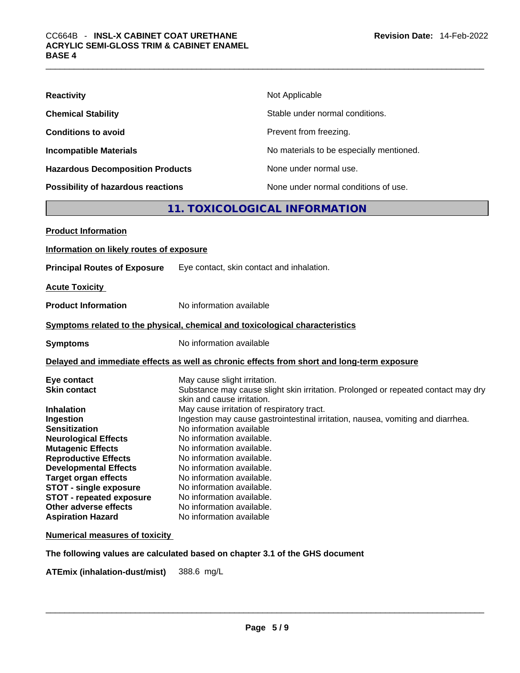| <b>Reactivity</b>                         | Not Applicable                           |
|-------------------------------------------|------------------------------------------|
| <b>Chemical Stability</b>                 | Stable under normal conditions.          |
| <b>Conditions to avoid</b>                | Prevent from freezing.                   |
| <b>Incompatible Materials</b>             | No materials to be especially mentioned. |
| <b>Hazardous Decomposition Products</b>   | None under normal use.                   |
| <b>Possibility of hazardous reactions</b> | None under normal conditions of use.     |

# **11. TOXICOLOGICAL INFORMATION**

| <b>Product Information</b>               |                                                                                                                 |
|------------------------------------------|-----------------------------------------------------------------------------------------------------------------|
| Information on likely routes of exposure |                                                                                                                 |
| <b>Principal Routes of Exposure</b>      | Eye contact, skin contact and inhalation.                                                                       |
| <b>Acute Toxicity</b>                    |                                                                                                                 |
| <b>Product Information</b>               | No information available                                                                                        |
|                                          | Symptoms related to the physical, chemical and toxicological characteristics                                    |
| <b>Symptoms</b>                          | No information available                                                                                        |
|                                          | Delayed and immediate effects as well as chronic effects from short and long-term exposure                      |
| Eye contact                              | May cause slight irritation.                                                                                    |
| <b>Skin contact</b>                      | Substance may cause slight skin irritation. Prolonged or repeated contact may dry<br>skin and cause irritation. |
| <b>Inhalation</b>                        | May cause irritation of respiratory tract.                                                                      |
| Ingestion                                | Ingestion may cause gastrointestinal irritation, nausea, vomiting and diarrhea.                                 |
| <b>Sensitization</b>                     | No information available                                                                                        |
| <b>Neurological Effects</b>              | No information available.                                                                                       |
| <b>Mutagenic Effects</b>                 | No information available.                                                                                       |
| <b>Reproductive Effects</b>              | No information available.                                                                                       |
| <b>Developmental Effects</b>             | No information available.                                                                                       |
| <b>Target organ effects</b>              | No information available.                                                                                       |
| <b>STOT - single exposure</b>            | No information available.                                                                                       |
| <b>STOT - repeated exposure</b>          | No information available.                                                                                       |
| Other adverse effects                    | No information available.                                                                                       |
| <b>Aspiration Hazard</b>                 | No information available                                                                                        |
| <b>Numerical measures of toxicity</b>    |                                                                                                                 |

**The following values are calculated based on chapter 3.1 of the GHS document**

**ATEmix (inhalation-dust/mist)** 388.6 mg/L \_\_\_\_\_\_\_\_\_\_\_\_\_\_\_\_\_\_\_\_\_\_\_\_\_\_\_\_\_\_\_\_\_\_\_\_\_\_\_\_\_\_\_\_\_\_\_\_\_\_\_\_\_\_\_\_\_\_\_\_\_\_\_\_\_\_\_\_\_\_\_\_\_\_\_\_\_\_\_\_\_\_\_\_\_\_\_\_\_\_\_\_\_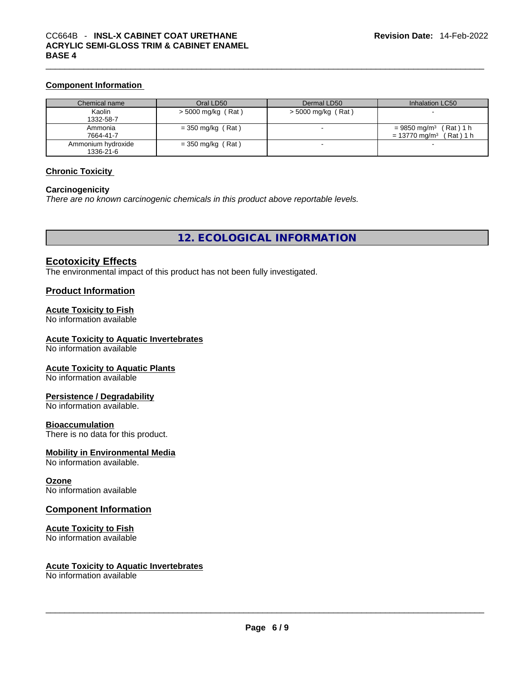#### **Component Information**

| Chemical name                   | Oral LD50           | Dermal LD50          | Inhalation LC50                                                                |
|---------------------------------|---------------------|----------------------|--------------------------------------------------------------------------------|
| Kaolin<br>1332-58-7             | > 5000 mg/kg (Rat)  | $>$ 5000 mg/kg (Rat) |                                                                                |
| Ammonia<br>7664-41-7            | $=$ 350 mg/kg (Rat) |                      | $= 9850$ mg/m <sup>3</sup> (Rat) 1 h<br>$= 13770$ ma/m <sup>3</sup><br>(Rat)1h |
| Ammonium hydroxide<br>1336-21-6 | $=$ 350 mg/kg (Rat) |                      |                                                                                |

## **Chronic Toxicity**

#### **Carcinogenicity**

*There are no known carcinogenic chemicals in this product above reportable levels.* 

**12. ECOLOGICAL INFORMATION** 

# **Ecotoxicity Effects**

The environmental impact of this product has not been fully investigated.

#### **Product Information**

## **Acute Toxicity to Fish**

No information available

## **Acute Toxicity to Aquatic Invertebrates**

No information available

#### **Acute Toxicity to Aquatic Plants**

No information available

#### **Persistence / Degradability**

No information available.

#### **Bioaccumulation**

There is no data for this product.

#### **Mobility in Environmental Media**

No information available.

#### **Ozone**

No information available

#### **Component Information**

#### **Acute Toxicity to Fish**

No information available

# **Acute Toxicity to Aquatic Invertebrates**

No information available \_\_\_\_\_\_\_\_\_\_\_\_\_\_\_\_\_\_\_\_\_\_\_\_\_\_\_\_\_\_\_\_\_\_\_\_\_\_\_\_\_\_\_\_\_\_\_\_\_\_\_\_\_\_\_\_\_\_\_\_\_\_\_\_\_\_\_\_\_\_\_\_\_\_\_\_\_\_\_\_\_\_\_\_\_\_\_\_\_\_\_\_\_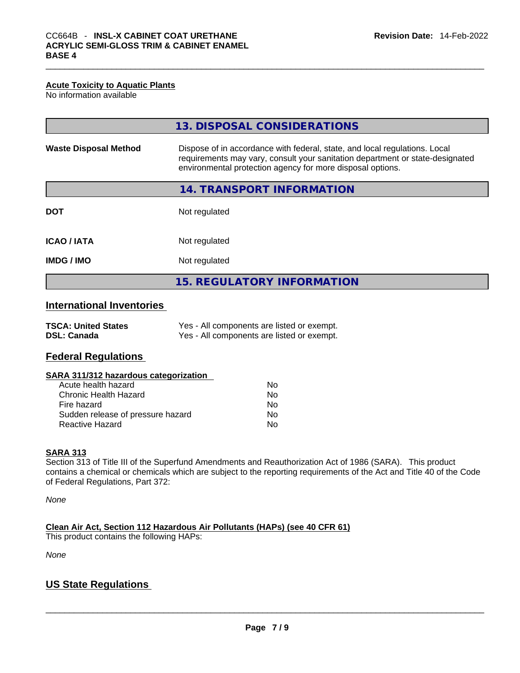#### **Acute Toxicity to Aquatic Plants**

No information available

|                              | 13. DISPOSAL CONSIDERATIONS                                                                                                                                                                                               |
|------------------------------|---------------------------------------------------------------------------------------------------------------------------------------------------------------------------------------------------------------------------|
| <b>Waste Disposal Method</b> | Dispose of in accordance with federal, state, and local regulations. Local<br>requirements may vary, consult your sanitation department or state-designated<br>environmental protection agency for more disposal options. |
|                              | 14. TRANSPORT INFORMATION                                                                                                                                                                                                 |
| <b>DOT</b>                   | Not regulated                                                                                                                                                                                                             |
| <b>ICAO/IATA</b>             | Not regulated                                                                                                                                                                                                             |
| <b>IMDG/IMO</b>              | Not regulated                                                                                                                                                                                                             |
|                              | <b>15. REGULATORY INFORMATION</b>                                                                                                                                                                                         |

# **International Inventories**

| <b>TSCA: United States</b> | Yes - All components are listed or exempt. |
|----------------------------|--------------------------------------------|
| <b>DSL: Canada</b>         | Yes - All components are listed or exempt. |

# **Federal Regulations**

#### **SARA 311/312 hazardous categorization**

| Acute health hazard               | Nο |
|-----------------------------------|----|
| Chronic Health Hazard             | Nο |
| Fire hazard                       | Nο |
| Sudden release of pressure hazard | No |
| Reactive Hazard                   | N٥ |

## **SARA 313**

Section 313 of Title III of the Superfund Amendments and Reauthorization Act of 1986 (SARA). This product contains a chemical or chemicals which are subject to the reporting requirements of the Act and Title 40 of the Code of Federal Regulations, Part 372:

*None*

**Clean Air Act,Section 112 Hazardous Air Pollutants (HAPs) (see 40 CFR 61)**

This product contains the following HAPs:

*None*

# **US State Regulations**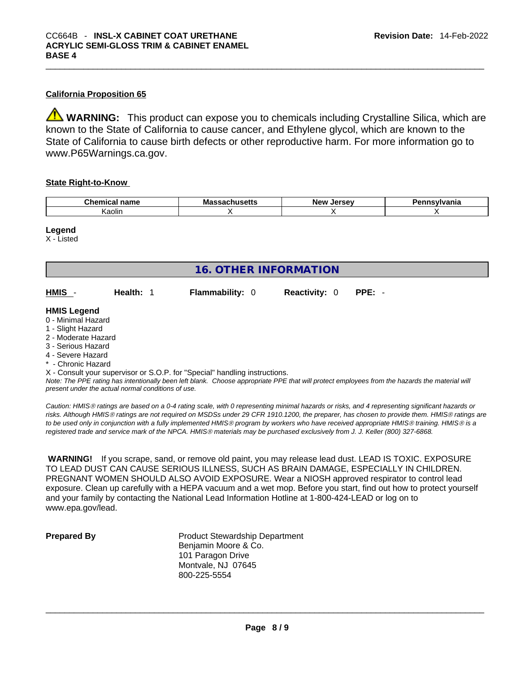## **California Proposition 65**

**WARNING:** This product can expose you to chemicals including Crystalline Silica, which are known to the State of California to cause cancer, and Ethylene glycol, which are known to the State of California to cause birth defects or other reproductive harm. For more information go to www.P65Warnings.ca.gov.

#### **State Right-to-Know**

| <b>Chemic</b> | Ma | --- | $-          -$ |
|---------------|----|-----|----------------|
| $   -$        | -  | .   | нс             |
| ∖aolin        |    |     |                |

#### **Legend**

X - Listed

| <b>16. OTHER INFORMATION</b>                                                                                                                                                                                                                                                              |           |  |                        |                      |  |                                                                                                                                               |
|-------------------------------------------------------------------------------------------------------------------------------------------------------------------------------------------------------------------------------------------------------------------------------------------|-----------|--|------------------------|----------------------|--|-----------------------------------------------------------------------------------------------------------------------------------------------|
| HMIS -                                                                                                                                                                                                                                                                                    | Health: 1 |  | <b>Flammability: 0</b> | <b>Reactivity: 0</b> |  | $PPE: -$                                                                                                                                      |
| <b>HMIS Legend</b><br>0 - Minimal Hazard<br>1 - Slight Hazard<br>2 - Moderate Hazard<br>3 - Serious Hazard<br>4 - Severe Hazard<br>* - Chronic Hazard<br>X - Consult your supervisor or S.O.P. for "Special" handling instructions.<br>present under the actual normal conditions of use. |           |  |                        |                      |  | Note: The PPE rating has intentionally been left blank. Choose appropriate PPE that will protect employees from the hazards the material will |

*Caution: HMISÒ ratings are based on a 0-4 rating scale, with 0 representing minimal hazards or risks, and 4 representing significant hazards or risks. Although HMISÒ ratings are not required on MSDSs under 29 CFR 1910.1200, the preparer, has chosen to provide them. HMISÒ ratings are to be used only in conjunction with a fully implemented HMISÒ program by workers who have received appropriate HMISÒ training. HMISÒ is a registered trade and service mark of the NPCA. HMISÒ materials may be purchased exclusively from J. J. Keller (800) 327-6868.* 

 **WARNING!** If you scrape, sand, or remove old paint, you may release lead dust. LEAD IS TOXIC. EXPOSURE TO LEAD DUST CAN CAUSE SERIOUS ILLNESS, SUCH AS BRAIN DAMAGE, ESPECIALLY IN CHILDREN. PREGNANT WOMEN SHOULD ALSO AVOID EXPOSURE.Wear a NIOSH approved respirator to control lead exposure. Clean up carefully with a HEPA vacuum and a wet mop. Before you start, find out how to protect yourself and your family by contacting the National Lead Information Hotline at 1-800-424-LEAD or log on to www.epa.gov/lead.

| <b>Prepared By</b> |  |
|--------------------|--|
|                    |  |

**Product Stewardship Department** Benjamin Moore & Co. 101 Paragon Drive Montvale, NJ 07645 800-225-5554